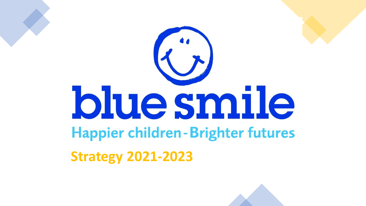

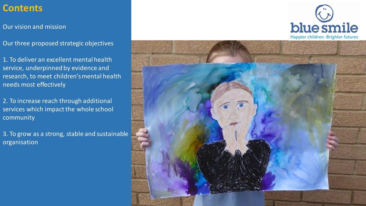# **Contents**

Our vision and mission

Our three proposed strategic objectives

1. To deliver an excellent mental health service, underpinned by evidence and research, to meet children's mental health needs most effectively

2. To increase reach through additional services which impact the whole school community

3. To grow as a strong, stable and sustainable organisation



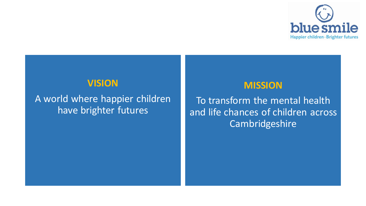

### **VISION**

A world where happier children have brighter futures

### **MISSION**

To transform the mental health and life chances of children across Cambridgeshire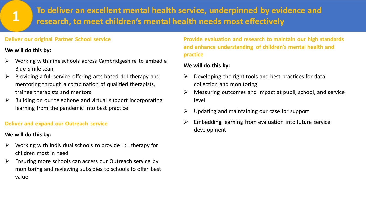## **To deliver an excellent mental health service, underpinned by evidence and research, to meet children's mental health needs most effectively**

### **Deliver our original Partner School service**

### **We will do this by:**

**1**

- ➢ Working with nine schools across Cambridgeshire to embed a Blue Smile team
- ➢ Providing a full-service offering arts-based 1:1 therapy and mentoring through a combination of qualified therapists, trainee therapists and mentors
- $\triangleright$  Building on our telephone and virtual support incorporating learning from the pandemic into best practice

### **Deliver and expand our Outreach service**

### **We will do this by:**

- $\triangleright$  Working with individual schools to provide 1:1 therapy for children most in need
- ➢ Ensuring more schools can access our Outreach service by monitoring and reviewing subsidies to schools to offer best value

**Provide evaluation and research to maintain our high standards and enhance understanding of children's mental health and practice**

### **We will do this by:**

- $\triangleright$  Developing the right tools and best practices for data collection and monitoring
- ➢ Measuring outcomes and impact at pupil, school, and service level
- $\triangleright$  Updating and maintaining our case for support
- $\triangleright$  Embedding learning from evaluation into future service development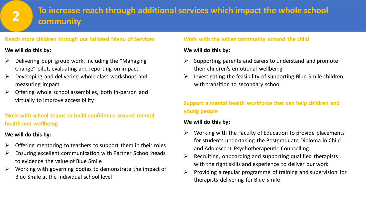# **To increase reach through additional services which impact the whole school community**

### **Reach more children through our tailored Menu of Services**

### **We will do this by:**

**2**

- ➢ Delivering pupil group work, including the "Managing Change" pilot, evaluating and reporting on impact
- ➢ Developing and delivering whole class workshops and measuring impact
- ➢ Offering whole school assemblies, both in-person and virtually to improve accessibility

### **Work with school teams to build confidence around mental health and wellbeing**

### **We will do this by:**

- $\triangleright$  Offering mentoring to teachers to support them in their roles
- $\triangleright$  Ensuring excellent communication with Partner School heads to evidence the value of Blue Smile
- $\triangleright$  Working with governing bodies to demonstrate the impact of Blue Smile at the individual school level

### **Work with the wider community around the child**

### **We will do this by:**

- $\triangleright$  Supporting parents and carers to understand and promote their children's emotional wellbeing
- $\triangleright$  Investigating the feasibility of supporting Blue Smile children with transition to secondary school

### **Support a mental health workforce that can help children and young people**

### **We will do this by:**

- $\triangleright$  Working with the Faculty of Education to provide placements for students undertaking the Postgraduate Diploma in Child and Adolescent Psychotherapeutic Counselling
- $\triangleright$  Recruiting, onboarding and supporting qualified therapists with the right skills and experience to deliver our work
- $\triangleright$  Providing a regular programme of training and supervision for therapists delivering for Blue Smile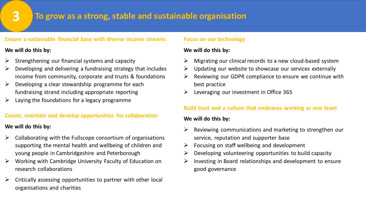# **3**

### **To grow as a strong, stable and sustainable organisation**

#### **Ensure a sustainable financial base with diverse income streams**

### **We will do this by:**

- Strengthening our financial systems and capacity
- ➢ Developing and delivering a fundraising strategy that includes income from community, corporate and trusts & foundations
- ➢ Developing a clear stewardship programme for each fundraising strand including appropriate reporting
- $\triangleright$  Laying the foundations for a legacy programme

### **Create, maintain and develop opportunities for collaboration**

### **We will do this by:**

- ➢ Collaborating with the Fullscope consortium of organisations supporting the mental health and wellbeing of children and young people in Cambridgeshire and Peterborough
- ➢ Working with Cambridge University Faculty of Education on research collaborations
- $\triangleright$  Critically assessing opportunities to partner with other local organisations and charities

### **Focus on our technology**

### **We will do this by:**

- $\triangleright$  Migrating our clinical records to a new cloud-based system
- $\triangleright$  Updating our website to showcase our services externally
- $\triangleright$  Reviewing our GDPR compliance to ensure we continue with best practice
- $\geq$  Leveraging our investment in Office 365

### **Build trust and a culture that embraces working as one team**

### **We will do this by:**

- $\triangleright$  Reviewing communications and marketing to strengthen our service, reputation and supporter base
- $\triangleright$  Focusing on staff wellbeing and development
- $\triangleright$  Developing volunteering opportunities to build capacity
- $\triangleright$  Investing in Board relationships and development to ensure good governance